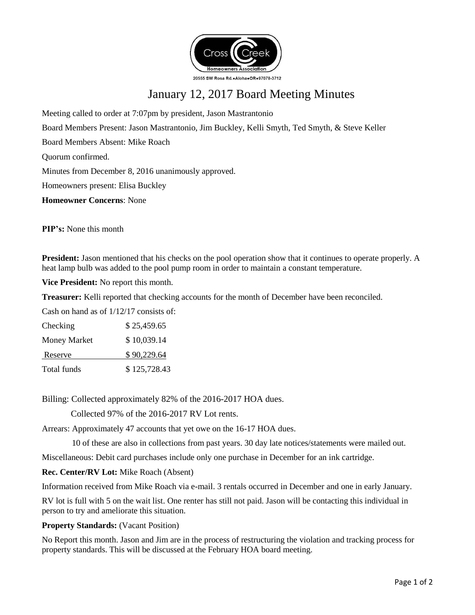

# January 12, 2017 Board Meeting Minutes

Meeting called to order at 7:07pm by president, Jason Mastrantonio

Board Members Present: Jason Mastrantonio, Jim Buckley, Kelli Smyth, Ted Smyth, & Steve Keller

Board Members Absent: Mike Roach

Quorum confirmed.

Minutes from December 8, 2016 unanimously approved.

Homeowners present: Elisa Buckley

**Homeowner Concerns**: None

**PIP's:** None this month

**President:** Jason mentioned that his checks on the pool operation show that it continues to operate properly. A heat lamp bulb was added to the pool pump room in order to maintain a constant temperature.

**Vice President:** No report this month.

**Treasurer:** Kelli reported that checking accounts for the month of December have been reconciled.

Cash on hand as of 1/12/17 consists of:

| Checking            | \$25,459.65  |
|---------------------|--------------|
| <b>Money Market</b> | \$10,039.14  |
| Reserve             | \$90,229.64  |
| Total funds         | \$125,728.43 |

Billing: Collected approximately 82% of the 2016-2017 HOA dues.

Collected 97% of the 2016-2017 RV Lot rents.

Arrears: Approximately 47 accounts that yet owe on the 16-17 HOA dues.

10 of these are also in collections from past years. 30 day late notices/statements were mailed out.

Miscellaneous: Debit card purchases include only one purchase in December for an ink cartridge.

## **Rec. Center/RV Lot:** Mike Roach (Absent)

Information received from Mike Roach via e-mail. 3 rentals occurred in December and one in early January.

RV lot is full with 5 on the wait list. One renter has still not paid. Jason will be contacting this individual in person to try and ameliorate this situation.

## **Property Standards: (Vacant Position)**

No Report this month. Jason and Jim are in the process of restructuring the violation and tracking process for property standards. This will be discussed at the February HOA board meeting.